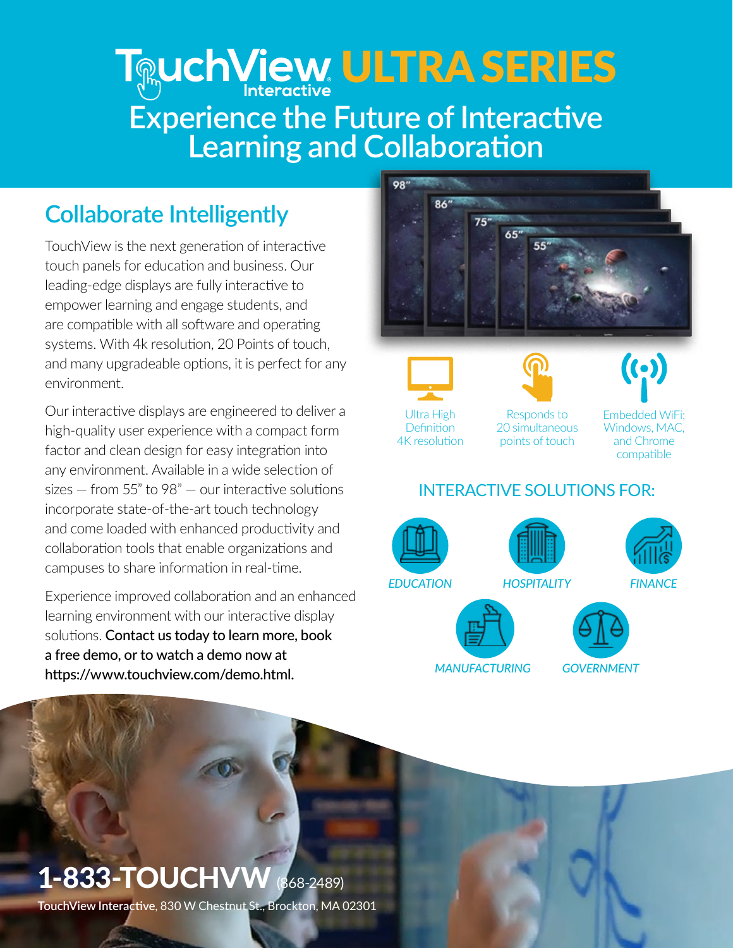## **Log Lind Concretive LUTRA SERIES Experience the Future of Interactive Learning and Collaboration**

## **Collaborate Intelligently**

TouchView is the next generation of interactive touch panels for education and business. Our leading-edge displays are fully interactive to empower learning and engage students, and are compatible with all software and operating systems. With 4k resolution, 20 Points of touch, and many upgradeable options, it is perfect for any environment.

Our interactive displays are engineered to deliver a high-quality user experience with a compact form factor and clean design for easy integration into any environment. Available in a wide selection of sizes — from 55" to 98" — our interactive solutions incorporate state-of-the-art touch technology and come loaded with enhanced productivity and collaboration tools that enable organizations and campuses to share information in real-time.

Experience improved collaboration and an enhanced learning environment with our interactive display solutions. Contact us today to learn more, book a free demo, or to watch a demo now at https://www.touchview.com/demo.html.







4K resolution

Responds to 20 simultaneous points of touch



Embedded WiFi; Windows, MAC, and Chrome compatible

### INTERACTIVE SOLUTIONS FOR:



*MANUFACTURING GOVERNMENT*

# 1-833-TOUCHVW (868-2489)

**TouchView Interactive**, 830 W Chestnut St., Brockton, MA 02301